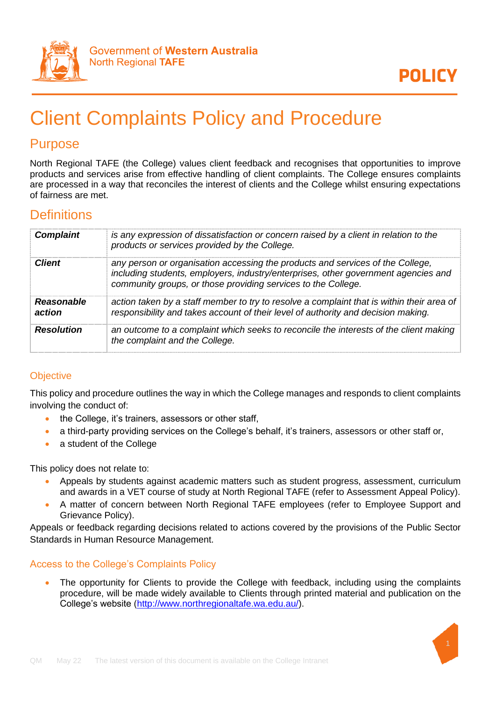

# Client Complaints Policy and Procedure

## Purpose

North Regional TAFE (the College) values client feedback and recognises that opportunities to improve products and services arise from effective handling of client complaints. The College ensures complaints are processed in a way that reconciles the interest of clients and the College whilst ensuring expectations of fairness are met.

## **Definitions**

| <b>Resolution</b>           | an outcome to a complaint which seeks to reconcile the interests of the client making<br>the complaint and the College.                                                                                                               |
|-----------------------------|---------------------------------------------------------------------------------------------------------------------------------------------------------------------------------------------------------------------------------------|
| <b>Reasonable</b><br>action | action taken by a staff member to try to resolve a complaint that is within their area of<br>responsibility and takes account of their level of authority and decision making.                                                        |
| Client                      | any person or organisation accessing the products and services of the College,<br>including students, employers, industry/enterprises, other government agencies and<br>community groups, or those providing services to the College. |
| <b>Complaint</b>            | is any expression of dissatisfaction or concern raised by a client in relation to the<br>products or services provided by the College.                                                                                                |

## **Objective**

This policy and procedure outlines the way in which the College manages and responds to client complaints involving the conduct of:

- the College, it's trainers, assessors or other staff,
- a third-party providing services on the College's behalf, it's trainers, assessors or other staff or,
- a student of the College

This policy does not relate to:

- Appeals by students against academic matters such as student progress, assessment, curriculum and awards in a VET course of study at North Regional TAFE (refer to Assessment Appeal Policy).
- A matter of concern between North Regional TAFE employees (refer to Employee Support and Grievance Policy).

Appeals or feedback regarding decisions related to actions covered by the provisions of the Public Sector Standards in Human Resource Management.

## Access to the College's Complaints Policy

• The opportunity for Clients to provide the College with feedback, including using the complaints procedure, will be made widely available to Clients through printed material and publication on the College's website [\(http://www.northregionaltafe.wa.edu.au/\)](http://www.northregionaltafe.wa.edu.au/).

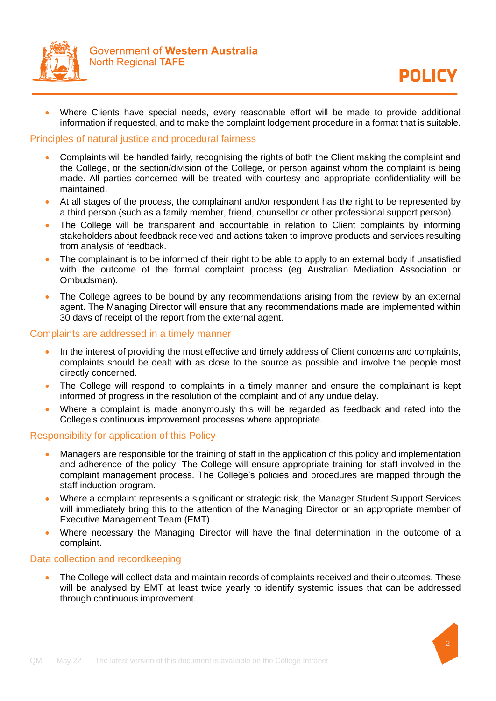

• Where Clients have special needs, every reasonable effort will be made to provide additional information if requested, and to make the complaint lodgement procedure in a format that is suitable.

#### Principles of natural justice and procedural fairness

- Complaints will be handled fairly, recognising the rights of both the Client making the complaint and the College, or the section/division of the College, or person against whom the complaint is being made. All parties concerned will be treated with courtesy and appropriate confidentiality will be maintained.
- At all stages of the process, the complainant and/or respondent has the right to be represented by a third person (such as a family member, friend, counsellor or other professional support person).
- The College will be transparent and accountable in relation to Client complaints by informing stakeholders about feedback received and actions taken to improve products and services resulting from analysis of feedback.
- The complainant is to be informed of their right to be able to apply to an external body if unsatisfied with the outcome of the formal complaint process (eg Australian Mediation Association or Ombudsman).
- The College agrees to be bound by any recommendations arising from the review by an external agent. The Managing Director will ensure that any recommendations made are implemented within 30 days of receipt of the report from the external agent.

#### Complaints are addressed in a timely manner

- In the interest of providing the most effective and timely address of Client concerns and complaints, complaints should be dealt with as close to the source as possible and involve the people most directly concerned.
- The College will respond to complaints in a timely manner and ensure the complainant is kept informed of progress in the resolution of the complaint and of any undue delay.
- Where a complaint is made anonymously this will be regarded as feedback and rated into the College's continuous improvement processes where appropriate.

#### Responsibility for application of this Policy

- Managers are responsible for the training of staff in the application of this policy and implementation and adherence of the policy. The College will ensure appropriate training for staff involved in the complaint management process. The College's policies and procedures are mapped through the staff induction program.
- Where a complaint represents a significant or strategic risk, the Manager Student Support Services will immediately bring this to the attention of the Managing Director or an appropriate member of Executive Management Team (EMT).
- Where necessary the Managing Director will have the final determination in the outcome of a complaint.

#### Data collection and recordkeeping

• The College will collect data and maintain records of complaints received and their outcomes. These will be analysed by EMT at least twice yearly to identify systemic issues that can be addressed through continuous improvement.

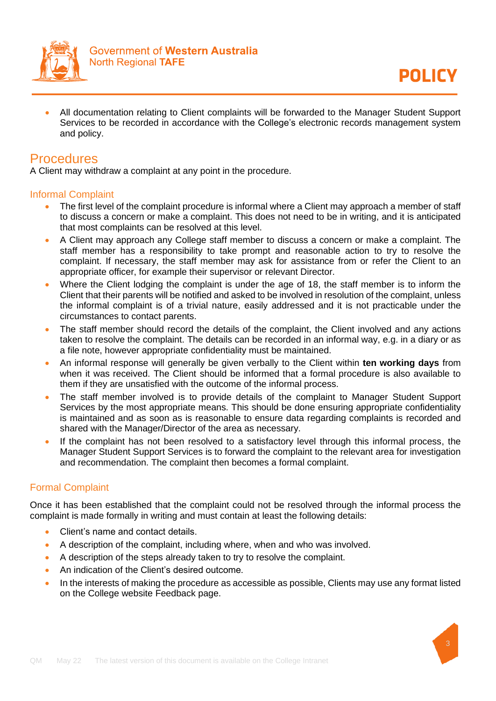

**POLICY** 

• All documentation relating to Client complaints will be forwarded to the Manager Student Support Services to be recorded in accordance with the College's electronic records management system and policy.

## **Procedures**

A Client may withdraw a complaint at any point in the procedure.

#### Informal Complaint

- The first level of the complaint procedure is informal where a Client may approach a member of staff to discuss a concern or make a complaint. This does not need to be in writing, and it is anticipated that most complaints can be resolved at this level.
- A Client may approach any College staff member to discuss a concern or make a complaint. The staff member has a responsibility to take prompt and reasonable action to try to resolve the complaint. If necessary, the staff member may ask for assistance from or refer the Client to an appropriate officer, for example their supervisor or relevant Director.
- Where the Client lodging the complaint is under the age of 18, the staff member is to inform the Client that their parents will be notified and asked to be involved in resolution of the complaint, unless the informal complaint is of a trivial nature, easily addressed and it is not practicable under the circumstances to contact parents.
- The staff member should record the details of the complaint, the Client involved and any actions taken to resolve the complaint. The details can be recorded in an informal way, e.g. in a diary or as a file note, however appropriate confidentiality must be maintained.
- An informal response will generally be given verbally to the Client within **ten working days** from when it was received. The Client should be informed that a formal procedure is also available to them if they are unsatisfied with the outcome of the informal process.
- The staff member involved is to provide details of the complaint to Manager Student Support Services by the most appropriate means. This should be done ensuring appropriate confidentiality is maintained and as soon as is reasonable to ensure data regarding complaints is recorded and shared with the Manager/Director of the area as necessary.
- If the complaint has not been resolved to a satisfactory level through this informal process, the Manager Student Support Services is to forward the complaint to the relevant area for investigation and recommendation. The complaint then becomes a formal complaint.

## Formal Complaint

Once it has been established that the complaint could not be resolved through the informal process the complaint is made formally in writing and must contain at least the following details:

- Client's name and contact details.
- A description of the complaint, including where, when and who was involved.
- A description of the steps already taken to try to resolve the complaint.
- An indication of the Client's desired outcome.
- In the interests of making the procedure as accessible as possible, Clients may use any format listed on the College website Feedback page.

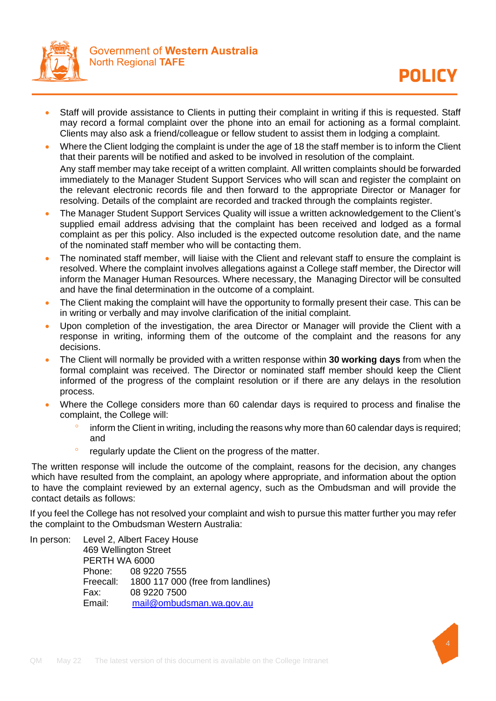

- Staff will provide assistance to Clients in putting their complaint in writing if this is requested. Staff may record a formal complaint over the phone into an email for actioning as a formal complaint. Clients may also ask a friend/colleague or fellow student to assist them in lodging a complaint.
- Where the Client lodging the complaint is under the age of 18 the staff member is to inform the Client that their parents will be notified and asked to be involved in resolution of the complaint. Any staff member may take receipt of a written complaint. All written complaints should be forwarded immediately to the Manager Student Support Services who will scan and register the complaint on the relevant electronic records file and then forward to the appropriate Director or Manager for resolving. Details of the complaint are recorded and tracked through the complaints register.
- The Manager Student Support Services Quality will issue a written acknowledgement to the Client's supplied email address advising that the complaint has been received and lodged as a formal complaint as per this policy. Also included is the expected outcome resolution date, and the name of the nominated staff member who will be contacting them.
- The nominated staff member, will liaise with the Client and relevant staff to ensure the complaint is resolved. Where the complaint involves allegations against a College staff member, the Director will inform the Manager Human Resources. Where necessary, the Managing Director will be consulted and have the final determination in the outcome of a complaint.
- The Client making the complaint will have the opportunity to formally present their case. This can be in writing or verbally and may involve clarification of the initial complaint.
- Upon completion of the investigation, the area Director or Manager will provide the Client with a response in writing, informing them of the outcome of the complaint and the reasons for any decisions.
- The Client will normally be provided with a written response within **30 working days** from when the formal complaint was received. The Director or nominated staff member should keep the Client informed of the progress of the complaint resolution or if there are any delays in the resolution process.
- Where the College considers more than 60 calendar days is required to process and finalise the complaint, the College will:
	- $\degree$  inform the Client in writing, including the reasons why more than 60 calendar days is required; and
	- regularly update the Client on the progress of the matter.

The written response will include the outcome of the complaint, reasons for the decision, any changes which have resulted from the complaint, an apology where appropriate, and information about the option to have the complaint reviewed by an external agency, such as the Ombudsman and will provide the contact details as follows:

If you feel the College has not resolved your complaint and wish to pursue this matter further you may refer the complaint to the Ombudsman Western Australia:

In person: Level 2, Albert Facey House 469 Wellington Street **PERTH WA 6000**<br>Phone: 08 922 08 9220 7555 Freecall: 1800 117 000 (free from landlines) Fax: 08 9220 7500 Email: [mail@ombudsman.wa.gov.au](mailto:mail@ombudsman.wa.gov.au)

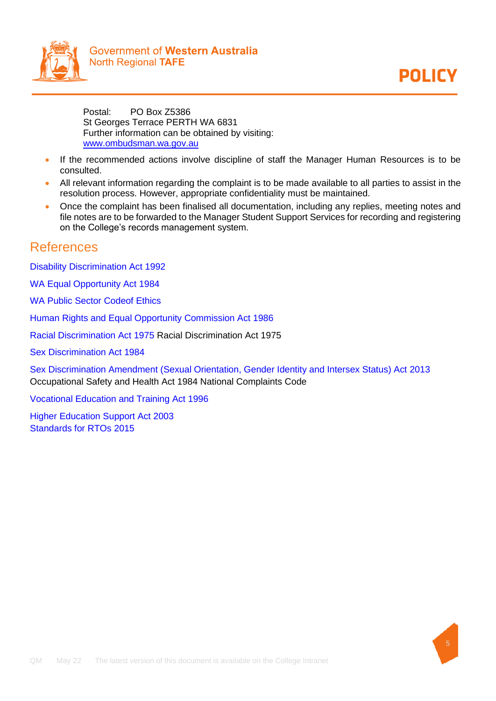



Postal: PO Box Z5386 St Georges Terrace PERTH WA 6831 Further information can be obtained by visiting: [www.ombudsman.wa.gov.au](http://www.ombudsman.wa.gov.au/)

- If the recommended actions involve discipline of staff the Manager Human Resources is to be consulted.
- All relevant information regarding the complaint is to be made available to all parties to assist in the resolution process. However, appropriate confidentiality must be maintained.
- Once the complaint has been finalised all documentation, including any replies, meeting notes and file notes are to be forwarded to the Manager Student Support Services for recording and registering on the College's records management system.

## References

[Disability Discrimination Act 1992](https://www.legislation.gov.au/Details/C2018C00125)

[WA Equal Opportunity Act 1984](https://www.legislation.wa.gov.au/legislation/statutes.nsf/main_mrtitle_305_homepage.html)

[WA Public Sector Codeof Ethics](https://publicsector.wa.gov.au/sites/default/files/wam-filerepo-docs/code_of_ethics_08.pdf)

[Human Rights and Equal Opportunity Commission Act 1986](https://www.legislation.gov.au/Details/C2019C00030)

[Racial Discrimination Act 1975 R](https://www.legislation.gov.au/Details/C2016C00089)acial Discrimination Act 1975

[Sex Discrimination Act 1984](https://www.legislation.gov.au/Details/C2018C00499)

[Sex Discrimination Amendment \(Sexual Orientation, Gender Identity and Intersex Status\) Act](https://www.legislation.gov.au/Details/C2013A00098) [2013](https://www.legislation.gov.au/Details/C2013A00098) Occupational Safety and Health Act 1984 National Complaints Code

[Vocational Education and Training Act 1996](https://www.legislation.wa.gov.au/legislation/statutes.nsf/main_mrtitle_1030_homepage.html)

[Higher Education Support Act 2003](https://www.legislation.gov.au/Details/C2020C00078) [Standards for RTOs 2015](https://www.legislation.gov.au/Details/F2019C00503)